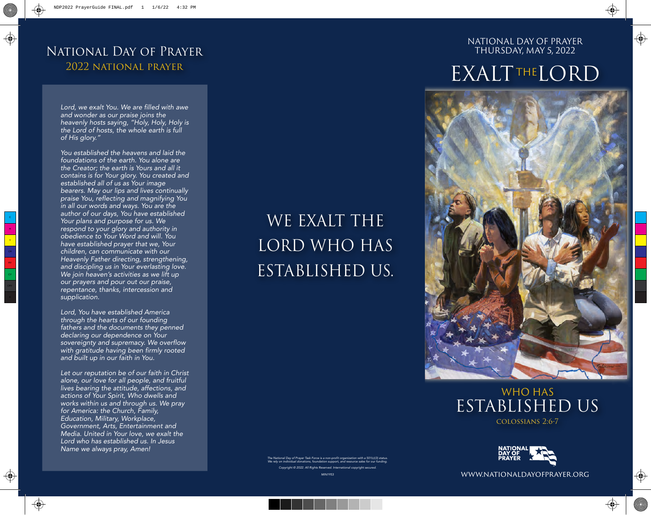### National Day of Prayer 2022 national prayer

*Lord, we exalt You. We are filled with awe and wonder as our praise joins the heavenly hosts saying, "Holy, Holy, Holy is the Lord of hosts, the whole earth is full of His glory."*

*You established the heavens and laid the foundations of the earth. You alone are the Creator; the earth is Yours and all it contains is for Your glory. You created and established all of us as Your image bearers. May our lips and lives continually praise You, reflecting and magnifying You in all our words and ways. You are the author of our days, You have established Your plans and purpose for us. We respond to your glory and authority in obedience to Your Word and will. You have established prayer that we, Your children, can communicate with our Heavenly Father directing, strengthening, and discipling us in Your everlasting love. We join heaven's activities as we lift up our prayers and pour out our praise, repentance, thanks, intercession and supplication.* 

*Lord, You have established America through the hearts of our founding fathers and the documents they penned declaring our dependence on Your sovereignty and supremacy. We overflow with gratitude having been firmly rooted and built up in our faith in You.*

*Let our reputation be of our faith in Christ alone, our love for all people, and fruitful lives bearing the attitude, affections, and actions of Your Spirit, Who dwells and works within us and through us. We pray for America: the Church, Family, Education, Military, Workplace, Government, Arts, Entertainment and Media. United in Your love, we exalt the Lord who has established us. In Jesus Name we always pray, Amen!*

# WE EXALT THE LORD WHO HAS ESTABLISHED US.

*The National Day of Prayer Task Force is a non-profit organization with a 501(c)(3) status. We rely on individual donations, foundation support, and resource sales for our funding. Copyright © 2022. All Rights Reserved. International copyright secured.*

NATIONAL DAY OF PRAYER THURSDAY, MAY 5, 2022

# **EXALTTHELORD**







www.nationaldayofprayer.org